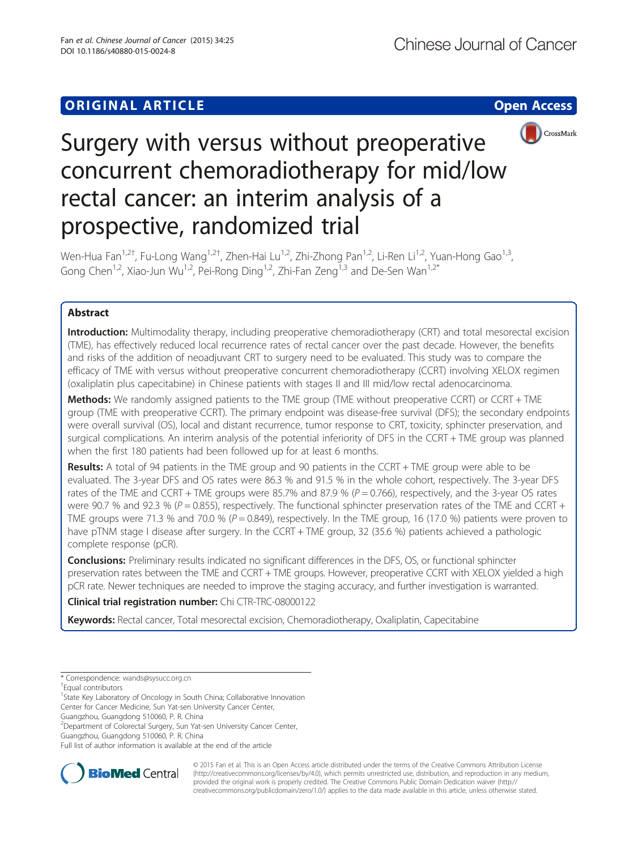# **ORIGINAL ARTICLE CONSUMING A LIGACION** CONSUMING A LIGACION CONSUMING A LIGACION CONSUMING A LIGACION CONSUMING A LIGACION CONSUMING A LIGACION CONSUMING A LIGACION CONSUMING A LIGACION CONSUMING A LIGACION CONSUMING A



# Surgery with versus without preoperative concurrent chemoradiotherapy for mid/low rectal cancer: an interim analysis of a prospective, randomized trial

Wen-Hua Fan<sup>1,2†</sup>, Fu-Long Wang<sup>1,2†</sup>, Zhen-Hai Lu<sup>1,2</sup>, Zhi-Zhong Pan<sup>1,2</sup>, Li-Ren Li<sup>1,2</sup>, Yuan-Hong Gao<sup>1,3</sup>, Gong Chen<sup>1,2</sup>, Xiao-Jun Wu<sup>1,2</sup>, Pei-Rong Ding<sup>1,2</sup>, Zhi-Fan Zeng<sup>1,3</sup> and De-Sen Wan<sup>1,2\*</sup>

# Abstract

Introduction: Multimodality therapy, including preoperative chemoradiotherapy (CRT) and total mesorectal excision (TME), has effectively reduced local recurrence rates of rectal cancer over the past decade. However, the benefits and risks of the addition of neoadjuvant CRT to surgery need to be evaluated. This study was to compare the efficacy of TME with versus without preoperative concurrent chemoradiotherapy (CCRT) involving XELOX regimen (oxaliplatin plus capecitabine) in Chinese patients with stages II and III mid/low rectal adenocarcinoma.

Methods: We randomly assigned patients to the TME group (TME without preoperative CCRT) or CCRT + TME group (TME with preoperative CCRT). The primary endpoint was disease-free survival (DFS); the secondary endpoints were overall survival (OS), local and distant recurrence, tumor response to CRT, toxicity, sphincter preservation, and surgical complications. An interim analysis of the potential inferiority of DFS in the CCRT + TME group was planned when the first 180 patients had been followed up for at least 6 months.

**Results:** A total of 94 patients in the TME group and 90 patients in the CCRT + TME group were able to be evaluated. The 3-year DFS and OS rates were 86.3 % and 91.5 % in the whole cohort, respectively. The 3-year DFS rates of the TME and CCRT + TME groups were 85.7% and 87.9 % ( $P = 0.766$ ), respectively, and the 3-year OS rates were 90.7 % and 92.3 % ( $P = 0.855$ ), respectively. The functional sphincter preservation rates of the TME and CCRT + TME groups were 71.3 % and 70.0 % ( $P = 0.849$ ), respectively. In the TME group, 16 (17.0 %) patients were proven to have pTNM stage I disease after surgery. In the CCRT + TME group, 32 (35.6 %) patients achieved a pathologic complete response (pCR).

**Conclusions:** Preliminary results indicated no significant differences in the DFS, OS, or functional sphincter preservation rates between the TME and CCRT + TME groups. However, preoperative CCRT with XELOX yielded a high pCR rate. Newer techniques are needed to improve the staging accuracy, and further investigation is warranted.

# Clinical trial registration number: Chi [CTR-TRC-08000122](http://www.chictr.org/cn/proj/show.aspx?proj=1266)

Keywords: Rectal cancer, Total mesorectal excision, Chemoradiotherapy, Oxaliplatin, Capecitabine

<sup>1</sup>State Key Laboratory of Oncology in South China; Collaborative Innovation Center for Cancer Medicine, Sun Yat-sen University Cancer Center,

Guangzhou, Guangdong 510060, P. R. China

<sup>2</sup> Department of Colorectal Surgery, Sun Yat-sen University Cancer Center, Guangzhou, Guangdong 510060, P. R. China

Full list of author information is available at the end of the article



© 2015 Fan et al. This is an Open Access article distributed under the terms of the Creative Commons Attribution License [\(http://creativecommons.org/licenses/by/4.0\)](http://creativecommons.org/licenses/by/4.0), which permits unrestricted use, distribution, and reproduction in any medium, provided the original work is properly credited. The Creative Commons Public Domain Dedication waiver [\(http://](http://creativecommons.org/publicdomain/zero/1.0/) [creativecommons.org/publicdomain/zero/1.0/\)](http://creativecommons.org/publicdomain/zero/1.0/) applies to the data made available in this article, unless otherwise stated.

<sup>\*</sup> Correspondence: [wands@sysucc.org.cn](mailto:wands@sysucc.org.cn) †

Equal contributors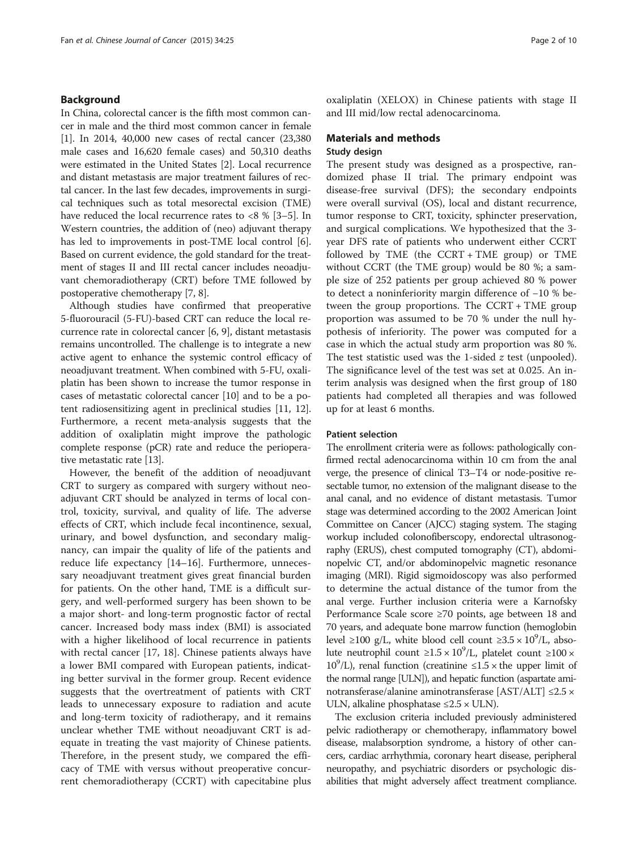# Background

In China, colorectal cancer is the fifth most common cancer in male and the third most common cancer in female [[1\]](#page-8-0). In 2014, 40,000 new cases of rectal cancer (23,380 male cases and 16,620 female cases) and 50,310 deaths were estimated in the United States [\[2\]](#page-8-0). Local recurrence and distant metastasis are major treatment failures of rectal cancer. In the last few decades, improvements in surgical techniques such as total mesorectal excision (TME) have reduced the local recurrence rates to <8 % [\[3](#page-8-0)–[5](#page-8-0)]. In Western countries, the addition of (neo) adjuvant therapy has led to improvements in post-TME local control [[6](#page-8-0)]. Based on current evidence, the gold standard for the treatment of stages II and III rectal cancer includes neoadjuvant chemoradiotherapy (CRT) before TME followed by postoperative chemotherapy [[7](#page-8-0), [8](#page-8-0)].

Although studies have confirmed that preoperative 5-fluorouracil (5-FU)-based CRT can reduce the local recurrence rate in colorectal cancer [\[6](#page-8-0), [9\]](#page-8-0), distant metastasis remains uncontrolled. The challenge is to integrate a new active agent to enhance the systemic control efficacy of neoadjuvant treatment. When combined with 5-FU, oxaliplatin has been shown to increase the tumor response in cases of metastatic colorectal cancer [[10](#page-8-0)] and to be a potent radiosensitizing agent in preclinical studies [\[11, 12](#page-8-0)]. Furthermore, a recent meta-analysis suggests that the addition of oxaliplatin might improve the pathologic complete response (pCR) rate and reduce the perioperative metastatic rate [\[13\]](#page-8-0).

However, the benefit of the addition of neoadjuvant CRT to surgery as compared with surgery without neoadjuvant CRT should be analyzed in terms of local control, toxicity, survival, and quality of life. The adverse effects of CRT, which include fecal incontinence, sexual, urinary, and bowel dysfunction, and secondary malignancy, can impair the quality of life of the patients and reduce life expectancy [\[14](#page-8-0)–[16\]](#page-8-0). Furthermore, unnecessary neoadjuvant treatment gives great financial burden for patients. On the other hand, TME is a difficult surgery, and well-performed surgery has been shown to be a major short- and long-term prognostic factor of rectal cancer. Increased body mass index (BMI) is associated with a higher likelihood of local recurrence in patients with rectal cancer [\[17, 18](#page-8-0)]. Chinese patients always have a lower BMI compared with European patients, indicating better survival in the former group. Recent evidence suggests that the overtreatment of patients with CRT leads to unnecessary exposure to radiation and acute and long-term toxicity of radiotherapy, and it remains unclear whether TME without neoadjuvant CRT is adequate in treating the vast majority of Chinese patients. Therefore, in the present study, we compared the efficacy of TME with versus without preoperative concurrent chemoradiotherapy (CCRT) with capecitabine plus oxaliplatin (XELOX) in Chinese patients with stage II and III mid/low rectal adenocarcinoma.

# Materials and methods Study design

The present study was designed as a prospective, randomized phase II trial. The primary endpoint was disease-free survival (DFS); the secondary endpoints were overall survival (OS), local and distant recurrence, tumor response to CRT, toxicity, sphincter preservation, and surgical complications. We hypothesized that the 3 year DFS rate of patients who underwent either CCRT followed by TME (the CCRT + TME group) or TME without CCRT (the TME group) would be 80 %; a sample size of 252 patients per group achieved 80 % power to detect a noninferiority margin difference of −10 % between the group proportions. The CCRT + TME group proportion was assumed to be 70 % under the null hypothesis of inferiority. The power was computed for a case in which the actual study arm proportion was 80 %. The test statistic used was the 1-sided  $z$  test (unpooled). The significance level of the test was set at 0.025. An interim analysis was designed when the first group of 180 patients had completed all therapies and was followed up for at least 6 months.

# Patient selection

The enrollment criteria were as follows: pathologically confirmed rectal adenocarcinoma within 10 cm from the anal verge, the presence of clinical T3–T4 or node-positive resectable tumor, no extension of the malignant disease to the anal canal, and no evidence of distant metastasis. Tumor stage was determined according to the 2002 American Joint Committee on Cancer (AJCC) staging system. The staging workup included colonofiberscopy, endorectal ultrasonography (ERUS), chest computed tomography (CT), abdominopelvic CT, and/or abdominopelvic magnetic resonance imaging (MRI). Rigid sigmoidoscopy was also performed to determine the actual distance of the tumor from the anal verge. Further inclusion criteria were a Karnofsky Performance Scale score ≥70 points, age between 18 and 70 years, and adequate bone marrow function (hemoglobin level ≥100 g/L, white blood cell count ≥3.5 ×  $10^9$ /L, absolute neutrophil count  $\geq 1.5 \times 10^9$ /L, platelet count  $\geq 100 \times$ 10<sup>9</sup>/L), renal function (creatinine  $\leq$ 1.5  $\times$  the upper limit of the normal range [ULN]), and hepatic function (aspartate aminotransferase/alanine aminotransferase [AST/ALT] ≤2.5 × ULN, alkaline phosphatase  $\leq 2.5 \times$  ULN).

The exclusion criteria included previously administered pelvic radiotherapy or chemotherapy, inflammatory bowel disease, malabsorption syndrome, a history of other cancers, cardiac arrhythmia, coronary heart disease, peripheral neuropathy, and psychiatric disorders or psychologic disabilities that might adversely affect treatment compliance.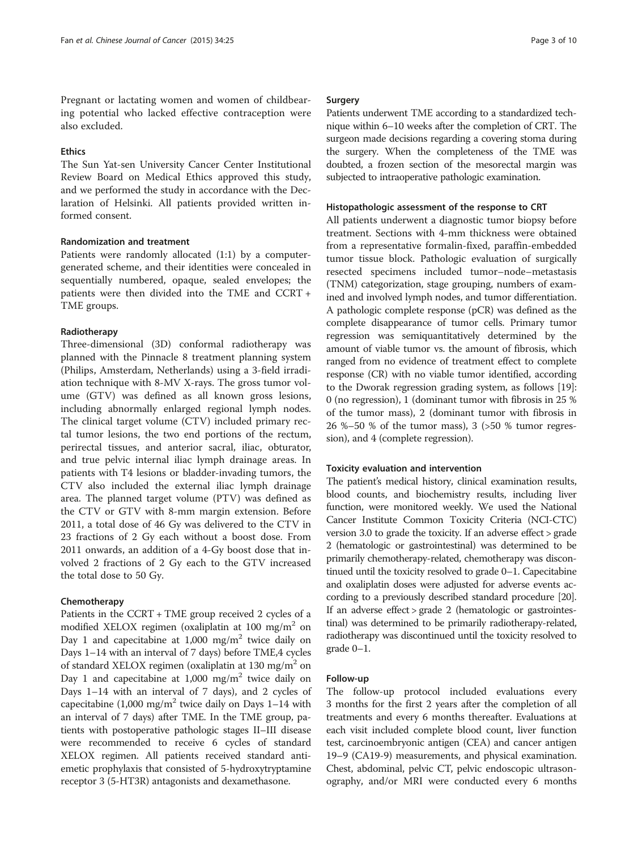Pregnant or lactating women and women of childbearing potential who lacked effective contraception were also excluded.

# **Ethics**

The Sun Yat-sen University Cancer Center Institutional Review Board on Medical Ethics approved this study, and we performed the study in accordance with the Declaration of Helsinki. All patients provided written informed consent.

# Randomization and treatment

Patients were randomly allocated (1:1) by a computergenerated scheme, and their identities were concealed in sequentially numbered, opaque, sealed envelopes; the patients were then divided into the TME and CCRT + TME groups.

# Radiotherapy

Three-dimensional (3D) conformal radiotherapy was planned with the Pinnacle 8 treatment planning system (Philips, Amsterdam, Netherlands) using a 3-field irradiation technique with 8-MV X-rays. The gross tumor volume (GTV) was defined as all known gross lesions, including abnormally enlarged regional lymph nodes. The clinical target volume (CTV) included primary rectal tumor lesions, the two end portions of the rectum, perirectal tissues, and anterior sacral, iliac, obturator, and true pelvic internal iliac lymph drainage areas. In patients with T4 lesions or bladder-invading tumors, the CTV also included the external iliac lymph drainage area. The planned target volume (PTV) was defined as the CTV or GTV with 8-mm margin extension. Before 2011, a total dose of 46 Gy was delivered to the CTV in 23 fractions of 2 Gy each without a boost dose. From 2011 onwards, an addition of a 4-Gy boost dose that involved 2 fractions of 2 Gy each to the GTV increased the total dose to 50 Gy.

## Chemotherapy

Patients in the CCRT + TME group received 2 cycles of a modified XELOX regimen (oxaliplatin at 100 mg/m<sup>2</sup> on Day 1 and capecitabine at  $1,000$  mg/m<sup>2</sup> twice daily on Days 1–14 with an interval of 7 days) before TME,4 cycles of standard XELOX regimen (oxaliplatin at  $130 \text{ mg/m}^2$  on Day 1 and capecitabine at  $1,000$  mg/m<sup>2</sup> twice daily on Days 1–14 with an interval of 7 days), and 2 cycles of capecitabine  $(1,000 \text{ mg/m}^2)$  twice daily on Days 1–14 with an interval of 7 days) after TME. In the TME group, patients with postoperative pathologic stages II–III disease were recommended to receive 6 cycles of standard XELOX regimen. All patients received standard antiemetic prophylaxis that consisted of 5-hydroxytryptamine receptor 3 (5-HT3R) antagonists and dexamethasone.

### Surgery

Patients underwent TME according to a standardized technique within 6–10 weeks after the completion of CRT. The surgeon made decisions regarding a covering stoma during the surgery. When the completeness of the TME was doubted, a frozen section of the mesorectal margin was subjected to intraoperative pathologic examination.

#### Histopathologic assessment of the response to CRT

All patients underwent a diagnostic tumor biopsy before treatment. Sections with 4-mm thickness were obtained from a representative formalin-fixed, paraffin-embedded tumor tissue block. Pathologic evaluation of surgically resected specimens included tumor–node–metastasis (TNM) categorization, stage grouping, numbers of examined and involved lymph nodes, and tumor differentiation. A pathologic complete response (pCR) was defined as the complete disappearance of tumor cells. Primary tumor regression was semiquantitatively determined by the amount of viable tumor vs. the amount of fibrosis, which ranged from no evidence of treatment effect to complete response (CR) with no viable tumor identified, according to the Dworak regression grading system, as follows [[19](#page-8-0)]: 0 (no regression), 1 (dominant tumor with fibrosis in 25 % of the tumor mass), 2 (dominant tumor with fibrosis in 26 %–50 % of the tumor mass), 3 (>50 % tumor regression), and 4 (complete regression).

#### Toxicity evaluation and intervention

The patient's medical history, clinical examination results, blood counts, and biochemistry results, including liver function, were monitored weekly. We used the National Cancer Institute Common Toxicity Criteria (NCI-CTC) version 3.0 to grade the toxicity. If an adverse effect > grade 2 (hematologic or gastrointestinal) was determined to be primarily chemotherapy-related, chemotherapy was discontinued until the toxicity resolved to grade 0–1. Capecitabine and oxaliplatin doses were adjusted for adverse events according to a previously described standard procedure [\[20](#page-8-0)]. If an adverse effect > grade 2 (hematologic or gastrointestinal) was determined to be primarily radiotherapy-related, radiotherapy was discontinued until the toxicity resolved to grade 0–1.

#### Follow-up

The follow-up protocol included evaluations every 3 months for the first 2 years after the completion of all treatments and every 6 months thereafter. Evaluations at each visit included complete blood count, liver function test, carcinoembryonic antigen (CEA) and cancer antigen 19–9 (CA19-9) measurements, and physical examination. Chest, abdominal, pelvic CT, pelvic endoscopic ultrasonography, and/or MRI were conducted every 6 months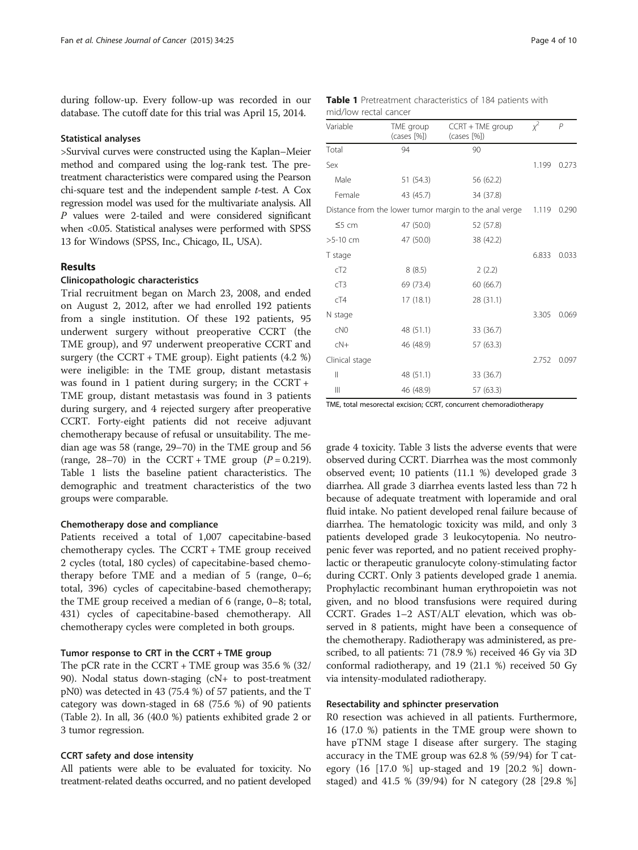<span id="page-3-0"></span>during follow-up. Every follow-up was recorded in our database. The cutoff date for this trial was April 15, 2014.

#### Statistical analyses

>Survival curves were constructed using the Kaplan–Meier method and compared using the log-rank test. The pretreatment characteristics were compared using the Pearson chi-square test and the independent sample  $t$ -test. A Cox regression model was used for the multivariate analysis. All P values were 2-tailed and were considered significant when <0.05. Statistical analyses were performed with SPSS 13 for Windows (SPSS, Inc., Chicago, IL, USA).

# Results

#### Clinicopathologic characteristics

Trial recruitment began on March 23, 2008, and ended on August 2, 2012, after we had enrolled 192 patients from a single institution. Of these 192 patients, 95 underwent surgery without preoperative CCRT (the TME group), and 97 underwent preoperative CCRT and surgery (the CCRT + TME group). Eight patients (4.2 %) were ineligible: in the TME group, distant metastasis was found in 1 patient during surgery; in the CCRT + TME group, distant metastasis was found in 3 patients during surgery, and 4 rejected surgery after preoperative CCRT. Forty-eight patients did not receive adjuvant chemotherapy because of refusal or unsuitability. The median age was 58 (range, 29–70) in the TME group and 56 (range,  $28-70$ ) in the CCRT + TME group ( $P = 0.219$ ). Table 1 lists the baseline patient characteristics. The demographic and treatment characteristics of the two groups were comparable.

# Chemotherapy dose and compliance

Patients received a total of 1,007 capecitabine-based chemotherapy cycles. The CCRT + TME group received 2 cycles (total, 180 cycles) of capecitabine-based chemotherapy before TME and a median of 5 (range, 0–6; total, 396) cycles of capecitabine-based chemotherapy; the TME group received a median of 6 (range, 0–8; total, 431) cycles of capecitabine-based chemotherapy. All chemotherapy cycles were completed in both groups.

#### Tumor response to CRT in the CCRT + TME group

The pCR rate in the CCRT + TME group was 35.6 % (32/ 90). Nodal status down-staging (cN+ to post-treatment pN0) was detected in 43 (75.4 %) of 57 patients, and the T category was down-staged in 68 (75.6 %) of 90 patients (Table [2\)](#page-4-0). In all, 36 (40.0 %) patients exhibited grade 2 or 3 tumor regression.

#### CCRT safety and dose intensity

All patients were able to be evaluated for toxicity. No treatment-related deaths occurred, and no patient developed

|                       | Table 1 Pretreatment characteristics of 184 patients with |  |  |
|-----------------------|-----------------------------------------------------------|--|--|
| mid/low rectal cancer |                                                           |  |  |

| Variable       | TME group<br>(cases [%]) | CCRT + TME group<br>(cases [%])                        | $x^2$ | P     |
|----------------|--------------------------|--------------------------------------------------------|-------|-------|
| Total          | 94                       | 90                                                     |       |       |
| Sex            |                          |                                                        | 1.199 | 0.273 |
| Male           | 51 (54.3)                | 56 (62.2)                                              |       |       |
| Female         | 43 (45.7)                | 34 (37.8)                                              |       |       |
|                |                          | Distance from the lower tumor margin to the anal verge | 1.119 | 0.290 |
| $55$ cm        | 47 (50.0)                | 52 (57.8)                                              |       |       |
| $>5-10$ cm     | 47 (50.0)                | 38 (42.2)                                              |       |       |
| T stage        |                          |                                                        | 6.833 | 0.033 |
| cT2            | 8(8.5)                   | 2(2.2)                                                 |       |       |
| cT3            | 69 (73.4)                | 60 (66.7)                                              |       |       |
| cT4            | 17(18.1)                 | 28 (31.1)                                              |       |       |
| N stage        |                          |                                                        | 3.305 | 0.069 |
| CNO            | 48 (51.1)                | 33 (36.7)                                              |       |       |
| $cN+$          | 46 (48.9)                | 57 (63.3)                                              |       |       |
| Clinical stage |                          |                                                        | 2.752 | 0.097 |
| $\mathbf{  }$  | 48 (51.1)                | 33 (36.7)                                              |       |       |
| Ш              | 46 (48.9)                | 57 (63.3)                                              |       |       |

TME, total mesorectal excision; CCRT, concurrent chemoradiotherapy

grade 4 toxicity. Table [3](#page-4-0) lists the adverse events that were observed during CCRT. Diarrhea was the most commonly observed event; 10 patients (11.1 %) developed grade 3 diarrhea. All grade 3 diarrhea events lasted less than 72 h because of adequate treatment with loperamide and oral fluid intake. No patient developed renal failure because of diarrhea. The hematologic toxicity was mild, and only 3 patients developed grade 3 leukocytopenia. No neutropenic fever was reported, and no patient received prophylactic or therapeutic granulocyte colony-stimulating factor during CCRT. Only 3 patients developed grade 1 anemia. Prophylactic recombinant human erythropoietin was not given, and no blood transfusions were required during CCRT. Grades 1–2 AST/ALT elevation, which was observed in 8 patients, might have been a consequence of the chemotherapy. Radiotherapy was administered, as prescribed, to all patients: 71 (78.9 %) received 46 Gy via 3D conformal radiotherapy, and 19 (21.1 %) received 50 Gy via intensity-modulated radiotherapy.

#### Resectability and sphincter preservation

R0 resection was achieved in all patients. Furthermore, 16 (17.0 %) patients in the TME group were shown to have pTNM stage I disease after surgery. The staging accuracy in the TME group was 62.8 % (59/94) for T category (16 [17.0 %] up-staged and 19 [20.2 %] downstaged) and 41.5 % (39/94) for N category (28 [29.8 %]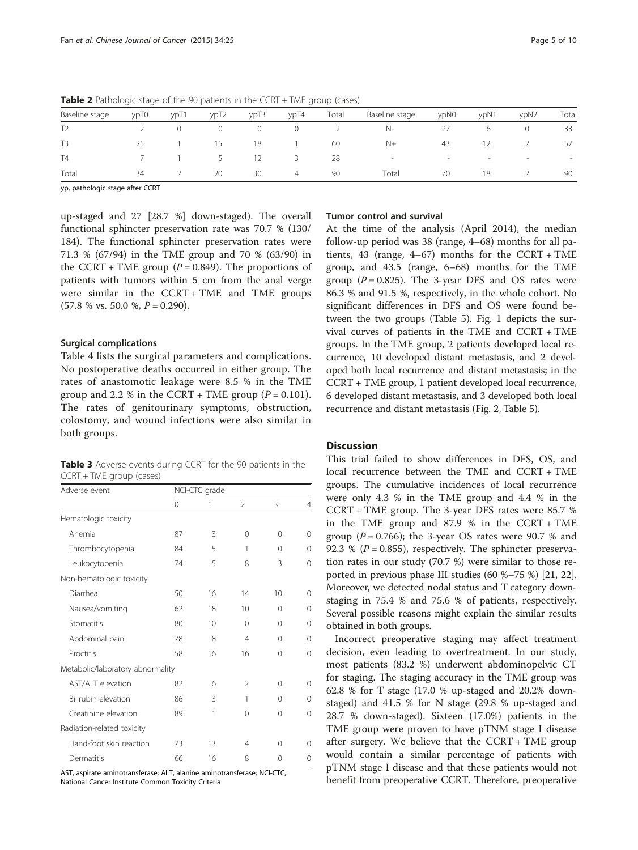| Baseline stage | ypT0 | yp <sub>T1</sub> | ypT2   | ypT3    | ypT4 | Total | Baseline stage           | ypN0                     | ypN1 | ypN2 | Tota                     |
|----------------|------|------------------|--------|---------|------|-------|--------------------------|--------------------------|------|------|--------------------------|
|                |      |                  | $\cup$ | $\circ$ | 0    |       | $N-$                     |                          |      |      | 33                       |
| T <sub>3</sub> | 25   |                  | 15     | 18      |      | 60    | $N+$                     | 43                       |      |      | 57                       |
| T <sub>4</sub> |      |                  | - 5    | 12      | 3.   | 28    | $\overline{\phantom{a}}$ | $\overline{\phantom{a}}$ |      |      | $\overline{\phantom{a}}$ |
| Total          | 34   |                  | 20     | 30      | 4    | 90    | Total                    | 70                       | 18   |      | 90                       |

<span id="page-4-0"></span>Table 2 Pathologic stage of the 90 patients in the CCRT + TME group (cases)

yp, pathologic stage after CCRT

up-staged and 27 [28.7 %] down-staged). The overall functional sphincter preservation rate was 70.7 % (130/ 184). The functional sphincter preservation rates were 71.3 % (67/94) in the TME group and 70 % (63/90) in the CCRT + TME group ( $P = 0.849$ ). The proportions of patients with tumors within 5 cm from the anal verge were similar in the CCRT + TME and TME groups  $(57.8 %$  vs. 50.0 %,  $P = 0.290$ ).

## Surgical complications

Table [4](#page-5-0) lists the surgical parameters and complications. No postoperative deaths occurred in either group. The rates of anastomotic leakage were 8.5 % in the TME group and 2.2 % in the CCRT + TME group  $(P = 0.101)$ . The rates of genitourinary symptoms, obstruction, colostomy, and wound infections were also similar in both groups.

Table 3 Adverse events during CCRT for the 90 patients in the CCRT + TME group (cases)

| Adverse event                    | NCI-CTC grade |    |                |    |   |  |
|----------------------------------|---------------|----|----------------|----|---|--|
|                                  | 0             | 1  | $\overline{2}$ | 3  | 4 |  |
| Hematologic toxicity             |               |    |                |    |   |  |
| Anemia                           | 87            | 3  | $\Omega$       | 0  | 0 |  |
| Thrombocytopenia                 | 84            | 5  | 1              | 0  | 0 |  |
| Leukocytopenia                   | 74            | 5  | 8              | 3  | 0 |  |
| Non-hematologic toxicity         |               |    |                |    |   |  |
| Diarrhea                         | 50            | 16 | 14             | 10 | 0 |  |
| Nausea/vomiting                  | 62            | 18 | 10             | 0  | 0 |  |
| Stomatitis                       | 80            | 10 | $\Omega$       | 0  | 0 |  |
| Abdominal pain                   | 78            | 8  | $\overline{4}$ | 0  | 0 |  |
| Proctitis                        | 58            | 16 | 16             | 0  | 0 |  |
| Metabolic/laboratory abnormality |               |    |                |    |   |  |
| <b>AST/ALT</b> elevation         | 82            | 6  | $\mathfrak{D}$ | 0  | 0 |  |
| Bilirubin elevation              | 86            | 3  | 1              | 0  | 0 |  |
| Creatinine elevation             | 89            | 1  | $\Omega$       | 0  | 0 |  |
| Radiation-related toxicity       |               |    |                |    |   |  |
| Hand-foot skin reaction          | 73            | 13 | 4              | 0  | 0 |  |
| Dermatitis                       | 66            | 16 | 8              | 0  | 0 |  |

AST, aspirate aminotransferase; ALT, alanine aminotransferase; NCI-CTC, National Cancer Institute Common Toxicity Criteria

# Tumor control and survival

At the time of the analysis (April 2014), the median follow-up period was 38 (range, 4–68) months for all patients, 43 (range, 4–67) months for the  $CCRT + TME$ group, and 43.5 (range, 6–68) months for the TME group  $(P = 0.825)$ . The 3-year DFS and OS rates were 86.3 % and 91.5 %, respectively, in the whole cohort. No significant differences in DFS and OS were found between the two groups (Table [5\)](#page-5-0). Fig. [1](#page-6-0) depicts the survival curves of patients in the TME and CCRT + TME groups. In the TME group, 2 patients developed local recurrence, 10 developed distant metastasis, and 2 developed both local recurrence and distant metastasis; in the CCRT + TME group, 1 patient developed local recurrence, 6 developed distant metastasis, and 3 developed both local recurrence and distant metastasis (Fig. [2,](#page-6-0) Table [5](#page-5-0)).

# Discussion

This trial failed to show differences in DFS, OS, and local recurrence between the TME and CCRT + TME groups. The cumulative incidences of local recurrence were only 4.3 % in the TME group and 4.4 % in the CCRT + TME group. The 3-year DFS rates were 85.7 % in the TME group and 87.9 % in the CCRT + TME group ( $P = 0.766$ ); the 3-year OS rates were 90.7 % and 92.3 % ( $P = 0.855$ ), respectively. The sphincter preservation rates in our study (70.7 %) were similar to those reported in previous phase III studies (60 %–75 %) [\[21, 22](#page-8-0)]. Moreover, we detected nodal status and T category downstaging in 75.4 % and 75.6 % of patients, respectively. Several possible reasons might explain the similar results obtained in both groups.

Incorrect preoperative staging may affect treatment decision, even leading to overtreatment. In our study, most patients (83.2 %) underwent abdominopelvic CT for staging. The staging accuracy in the TME group was 62.8 % for T stage (17.0 % up-staged and 20.2% downstaged) and 41.5 % for N stage (29.8 % up-staged and 28.7 % down-staged). Sixteen (17.0%) patients in the TME group were proven to have pTNM stage I disease after surgery. We believe that the CCRT + TME group would contain a similar percentage of patients with pTNM stage I disease and that these patients would not benefit from preoperative CCRT. Therefore, preoperative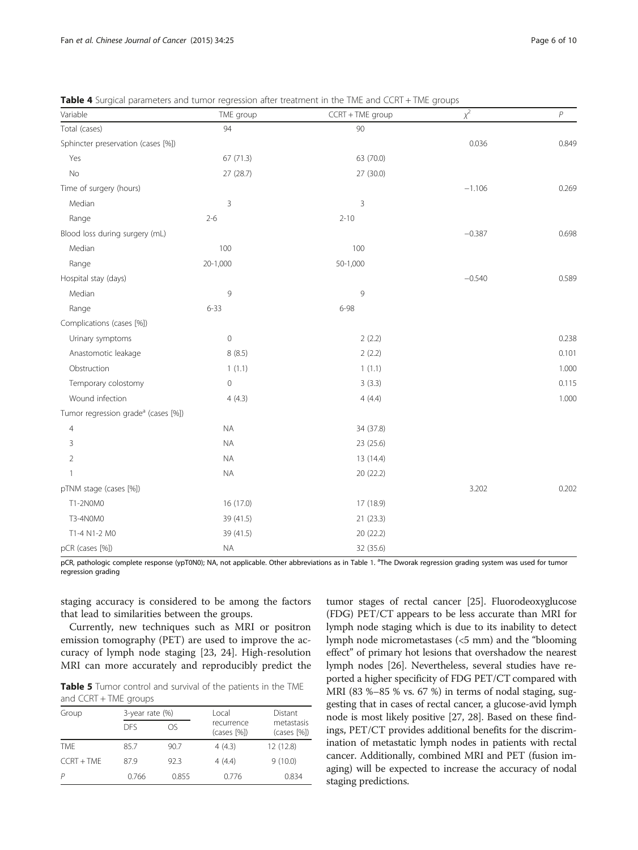| Variable                                        | TME group      | CCRT + TME group | $\chi^2$ | $\overline{P}$ |
|-------------------------------------------------|----------------|------------------|----------|----------------|
| Total (cases)                                   | 94             | 90               |          |                |
| Sphincter preservation (cases [%])              |                |                  | 0.036    | 0.849          |
| Yes                                             | 67 (71.3)      | 63 (70.0)        |          |                |
| <b>No</b>                                       | 27(28.7)       | 27 (30.0)        |          |                |
| Time of surgery (hours)                         |                |                  | $-1.106$ | 0.269          |
| Median                                          | $\overline{3}$ | 3                |          |                |
| Range                                           | $2 - 6$        | $2 - 10$         |          |                |
| Blood loss during surgery (mL)                  |                |                  | $-0.387$ | 0.698          |
| Median                                          | 100            | 100              |          |                |
| Range                                           | 20-1,000       | 50-1,000         |          |                |
| Hospital stay (days)                            |                |                  | $-0.540$ | 0.589          |
| Median                                          | 9              | 9                |          |                |
| Range                                           | $6 - 33$       | 6-98             |          |                |
| Complications (cases [%])                       |                |                  |          |                |
| Urinary symptoms                                | $\mathbb O$    | 2(2.2)           |          | 0.238          |
| Anastomotic leakage                             | 8(8.5)         | 2(2.2)           |          | 0.101          |
| Obstruction                                     | 1(1.1)         | 1(1.1)           |          | 1.000          |
| Temporary colostomy                             | $\mathbb O$    | 3(3.3)           |          | 0.115          |
| Wound infection                                 | 4(4.3)         | 4(4.4)           |          | 1.000          |
| Tumor regression grade <sup>a</sup> (cases [%]) |                |                  |          |                |
| $\overline{4}$                                  | $\sf NA$       | 34 (37.8)        |          |                |
| 3                                               | <b>NA</b>      | 23 (25.6)        |          |                |
| $\overline{2}$                                  | <b>NA</b>      | 13 (14.4)        |          |                |
| 1                                               | NA             | 20 (22.2)        |          |                |
| pTNM stage (cases [%])                          |                |                  | 3.202    | 0.202          |
| T1-2N0M0                                        | 16 (17.0)      | 17 (18.9)        |          |                |
| T3-4N0M0                                        | 39 (41.5)      | 21(23.3)         |          |                |
| T1-4 N1-2 M0                                    | 39 (41.5)      | 20 (22.2)        |          |                |
| pCR (cases [%])                                 | <b>NA</b>      | 32 (35.6)        |          |                |

<span id="page-5-0"></span>Table 4 Surgical parameters and tumor regression after treatment in the TME and CCRT + TME groups

pCR, pathologic complete response (ypT0N0); NA, not applicable. Other abbreviations as in Table [1](#page-3-0). <sup>a</sup>The Dworak regression grading system was used for tumor regression grading

staging accuracy is considered to be among the factors that lead to similarities between the groups.

Currently, new techniques such as MRI or positron emission tomography (PET) are used to improve the accuracy of lymph node staging [\[23, 24](#page-8-0)]. High-resolution MRI can more accurately and reproducibly predict the

Table 5 Tumor control and survival of the patients in the TME and CCRT + TME groups

| Group        | 3-year rate (%) |       | Local                     | Distant                   |  |
|--------------|-----------------|-------|---------------------------|---------------------------|--|
|              | <b>DES</b>      | OS    | recurrence<br>(cases [%]) | metastasis<br>(cases [%]) |  |
| <b>TME</b>   | 85.7            | 90.7  | 4(4.3)                    | 12 (12.8)                 |  |
| $CCRT + TMF$ | 87.9            | 92.3  | 4(4.4)                    | 9(10.0)                   |  |
|              | 0.766           | 0.855 | 0.776                     | 0.834                     |  |

tumor stages of rectal cancer [\[25\]](#page-8-0). Fluorodeoxyglucose (FDG) PET/CT appears to be less accurate than MRI for lymph node staging which is due to its inability to detect lymph node micrometastases (<5 mm) and the "blooming effect" of primary hot lesions that overshadow the nearest lymph nodes [\[26\]](#page-8-0). Nevertheless, several studies have reported a higher specificity of FDG PET/CT compared with MRI (83 %–85 % vs. 67 %) in terms of nodal staging, suggesting that in cases of rectal cancer, a glucose-avid lymph node is most likely positive [[27](#page-8-0), [28](#page-8-0)]. Based on these findings, PET/CT provides additional benefits for the discrimination of metastatic lymph nodes in patients with rectal cancer. Additionally, combined MRI and PET (fusion imaging) will be expected to increase the accuracy of nodal staging predictions.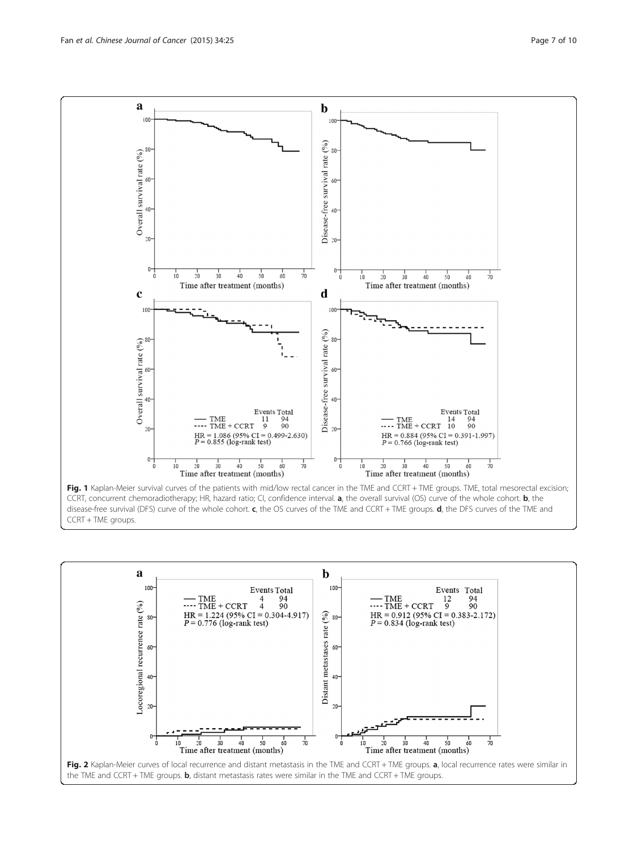<span id="page-6-0"></span>

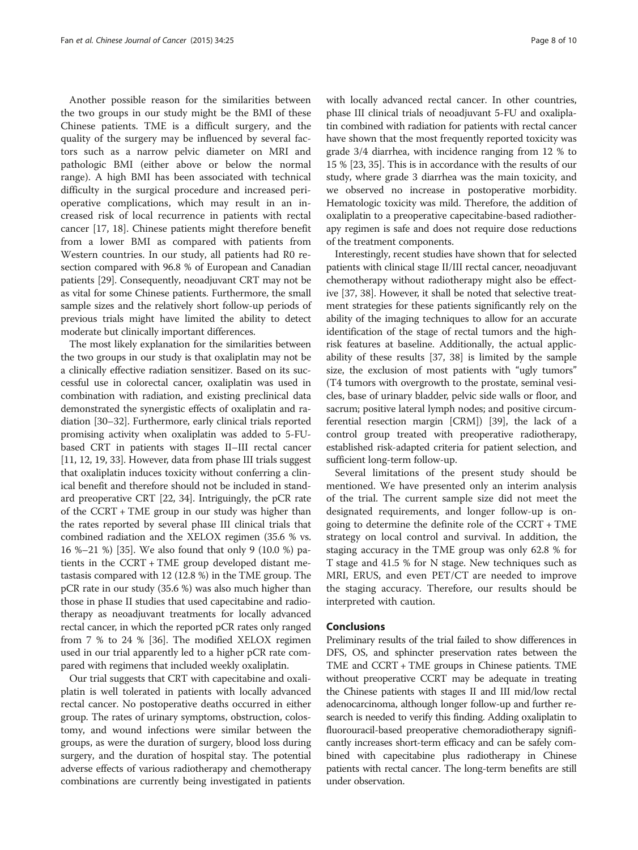Another possible reason for the similarities between the two groups in our study might be the BMI of these Chinese patients. TME is a difficult surgery, and the quality of the surgery may be influenced by several factors such as a narrow pelvic diameter on MRI and pathologic BMI (either above or below the normal range). A high BMI has been associated with technical difficulty in the surgical procedure and increased perioperative complications, which may result in an increased risk of local recurrence in patients with rectal cancer [[17, 18\]](#page-8-0). Chinese patients might therefore benefit from a lower BMI as compared with patients from Western countries. In our study, all patients had R0 resection compared with 96.8 % of European and Canadian patients [\[29\]](#page-8-0). Consequently, neoadjuvant CRT may not be as vital for some Chinese patients. Furthermore, the small sample sizes and the relatively short follow-up periods of previous trials might have limited the ability to detect moderate but clinically important differences.

The most likely explanation for the similarities between the two groups in our study is that oxaliplatin may not be a clinically effective radiation sensitizer. Based on its successful use in colorectal cancer, oxaliplatin was used in combination with radiation, and existing preclinical data demonstrated the synergistic effects of oxaliplatin and radiation [[30](#page-8-0)–[32\]](#page-8-0). Furthermore, early clinical trials reported promising activity when oxaliplatin was added to 5-FUbased CRT in patients with stages II–III rectal cancer [[11](#page-8-0), [12, 19](#page-8-0), [33](#page-8-0)]. However, data from phase III trials suggest that oxaliplatin induces toxicity without conferring a clinical benefit and therefore should not be included in standard preoperative CRT [[22, 34\]](#page-8-0). Intriguingly, the pCR rate of the CCRT + TME group in our study was higher than the rates reported by several phase III clinical trials that combined radiation and the XELOX regimen (35.6 % vs. 16 %–21 %) [[35](#page-9-0)]. We also found that only 9 (10.0 %) patients in the CCRT + TME group developed distant metastasis compared with 12 (12.8 %) in the TME group. The pCR rate in our study (35.6 %) was also much higher than those in phase II studies that used capecitabine and radiotherapy as neoadjuvant treatments for locally advanced rectal cancer, in which the reported pCR rates only ranged from 7 % to 24 % [\[36\]](#page-9-0). The modified XELOX regimen used in our trial apparently led to a higher pCR rate compared with regimens that included weekly oxaliplatin.

Our trial suggests that CRT with capecitabine and oxaliplatin is well tolerated in patients with locally advanced rectal cancer. No postoperative deaths occurred in either group. The rates of urinary symptoms, obstruction, colostomy, and wound infections were similar between the groups, as were the duration of surgery, blood loss during surgery, and the duration of hospital stay. The potential adverse effects of various radiotherapy and chemotherapy combinations are currently being investigated in patients

with locally advanced rectal cancer. In other countries, phase III clinical trials of neoadjuvant 5-FU and oxaliplatin combined with radiation for patients with rectal cancer have shown that the most frequently reported toxicity was grade 3/4 diarrhea, with incidence ranging from 12 % to 15 % [[23](#page-8-0), [35\]](#page-9-0). This is in accordance with the results of our study, where grade 3 diarrhea was the main toxicity, and we observed no increase in postoperative morbidity. Hematologic toxicity was mild. Therefore, the addition of oxaliplatin to a preoperative capecitabine-based radiotherapy regimen is safe and does not require dose reductions of the treatment components.

Interestingly, recent studies have shown that for selected patients with clinical stage II/III rectal cancer, neoadjuvant chemotherapy without radiotherapy might also be effective [[37](#page-9-0), [38](#page-9-0)]. However, it shall be noted that selective treatment strategies for these patients significantly rely on the ability of the imaging techniques to allow for an accurate identification of the stage of rectal tumors and the highrisk features at baseline. Additionally, the actual applicability of these results [[37, 38\]](#page-9-0) is limited by the sample size, the exclusion of most patients with "ugly tumors" (T4 tumors with overgrowth to the prostate, seminal vesicles, base of urinary bladder, pelvic side walls or floor, and sacrum; positive lateral lymph nodes; and positive circumferential resection margin [CRM]) [\[39](#page-9-0)], the lack of a control group treated with preoperative radiotherapy, established risk-adapted criteria for patient selection, and sufficient long-term follow-up.

Several limitations of the present study should be mentioned. We have presented only an interim analysis of the trial. The current sample size did not meet the designated requirements, and longer follow-up is ongoing to determine the definite role of the CCRT + TME strategy on local control and survival. In addition, the staging accuracy in the TME group was only 62.8 % for T stage and 41.5 % for N stage. New techniques such as MRI, ERUS, and even PET/CT are needed to improve the staging accuracy. Therefore, our results should be interpreted with caution.

# Conclusions

Preliminary results of the trial failed to show differences in DFS, OS, and sphincter preservation rates between the TME and CCRT + TME groups in Chinese patients. TME without preoperative CCRT may be adequate in treating the Chinese patients with stages II and III mid/low rectal adenocarcinoma, although longer follow-up and further research is needed to verify this finding. Adding oxaliplatin to fluorouracil-based preoperative chemoradiotherapy significantly increases short-term efficacy and can be safely combined with capecitabine plus radiotherapy in Chinese patients with rectal cancer. The long-term benefits are still under observation.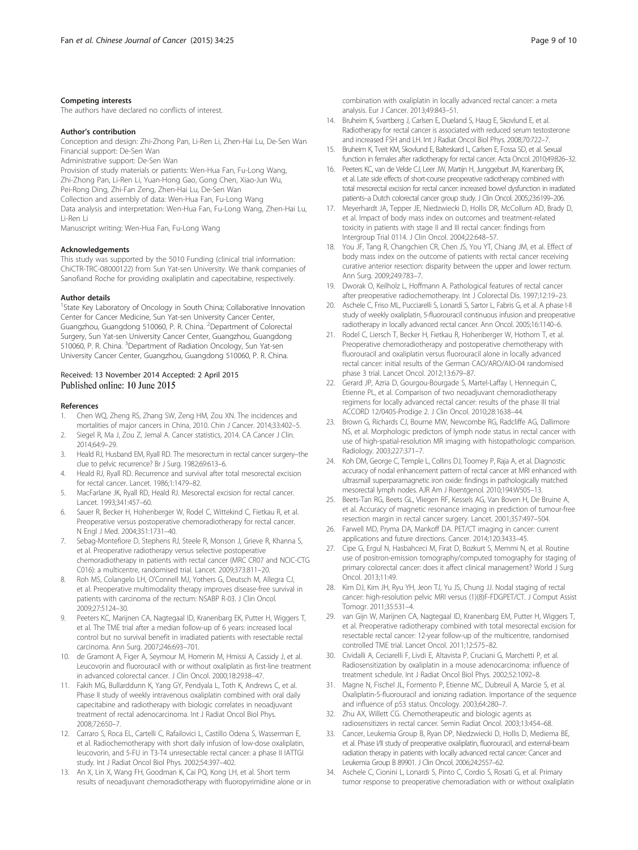#### <span id="page-8-0"></span>Competing interests

The authors have declared no conflicts of interest.

#### Author's contribution

Conception and design: Zhi-Zhong Pan, Li-Ren Li, Zhen-Hai Lu, De-Sen Wan Financial support: De-Sen Wan

Administrative support: De-Sen Wan

Provision of study materials or patients: Wen-Hua Fan, Fu-Long Wang,

Zhi-Zhong Pan, Li-Ren Li, Yuan-Hong Gao, Gong Chen, Xiao-Jun Wu,

Pei-Rong Ding, Zhi-Fan Zeng, Zhen-Hai Lu, De-Sen Wan

Collection and assembly of data: Wen-Hua Fan, Fu-Long Wang

Data analysis and interpretation: Wen-Hua Fan, Fu-Long Wang, Zhen-Hai Lu, Li-Ren Li

Manuscript writing: Wen-Hua Fan, Fu-Long Wang

#### Acknowledgements

This study was supported by the 5010 Funding (clinical trial information: ChiCTR-TRC-08000122) from Sun Yat-sen University. We thank companies of Sanofiand Roche for providing oxaliplatin and capecitabine, respectively.

#### Author details

<sup>1</sup>State Key Laboratory of Oncology in South China; Collaborative Innovation Center for Cancer Medicine, Sun Yat-sen University Cancer Center, Guangzhou, Guangdong 510060, P. R. China. <sup>2</sup>Department of Colorectal Surgery, Sun Yat-sen University Cancer Center, Guangzhou, Guangdong 510060, P. R. China. <sup>3</sup>Department of Radiation Oncology, Sun Yat-sen University Cancer Center, Guangzhou, Guangdong 510060, P. R. China.

# Received: 13 November 2014 Accepted: 2 April 2015

#### References

- 1. Chen WQ, Zheng RS, Zhang SW, Zeng HM, Zou XN. The incidences and mortalities of major cancers in China, 2010. Chin J Cancer. 2014;33:402–5.
- 2. Siegel R, Ma J, Zou Z, Jemal A. Cancer statistics, 2014. CA Cancer J Clin. 2014;64:9–29.
- 3. Heald RJ, Husband EM, Ryall RD. The mesorectum in rectal cancer surgery–the clue to pelvic recurrence? Br J Surg. 1982;69:613–6.
- 4. Heald RJ, Ryall RD. Recurrence and survival after total mesorectal excision for rectal cancer. Lancet. 1986;1:1479–82.
- 5. MacFarlane JK, Ryall RD, Heald RJ. Mesorectal excision for rectal cancer. Lancet. 1993;341:457–60.
- 6. Sauer R, Becker H, Hohenberger W, Rodel C, Wittekind C, Fietkau R, et al. Preoperative versus postoperative chemoradiotherapy for rectal cancer. N Engl J Med. 2004;351:1731–40.
- 7. Sebag-Montefiore D, Stephens RJ, Steele R, Monson J, Grieve R, Khanna S, et al. Preoperative radiotherapy versus selective postoperative chemoradiotherapy in patients with rectal cancer (MRC CR07 and NCIC-CTG C016): a multicentre, randomised trial. Lancet. 2009;373:811–20.
- 8. Roh MS, Colangelo LH, O'Connell MJ, Yothers G, Deutsch M, Allegra CJ, et al. Preoperative multimodality therapy improves disease-free survival in patients with carcinoma of the rectum: NSABP R-03. J Clin Oncol. 2009;27:5124–30.
- 9. Peeters KC, Marijnen CA, Nagtegaal ID, Kranenbarg EK, Putter H, Wiggers T, et al. The TME trial after a median follow-up of 6 years: increased local control but no survival benefit in irradiated patients with resectable rectal carcinoma. Ann Surg. 2007;246:693–701.
- 10. de Gramont A, Figer A, Seymour M, Homerin M, Hmissi A, Cassidy J, et al. Leucovorin and fluorouracil with or without oxaliplatin as first-line treatment in advanced colorectal cancer. J Clin Oncol. 2000;18:2938–47.
- 11. Fakih MG, Bullarddunn K, Yang GY, Pendyala L, Toth K, Andrews C, et al. Phase II study of weekly intravenous oxaliplatin combined with oral daily capecitabine and radiotherapy with biologic correlates in neoadjuvant treatment of rectal adenocarcinoma. Int J Radiat Oncol Biol Phys. 2008;72:650–7.
- 12. Carraro S, Roca EL, Cartelli C, Rafailovici L, Castillo Odena S, Wasserman E, et al. Radiochemotherapy with short daily infusion of low-dose oxaliplatin, leucovorin, and 5-FU in T3-T4 unresectable rectal cancer: a phase II IATTGI study. Int J Radiat Oncol Biol Phys. 2002;54:397–402.
- 13. An X, Lin X, Wang FH, Goodman K, Cai PQ, Kong LH, et al. Short term results of neoadjuvant chemoradiotherapy with fluoropyrimidine alone or in

combination with oxaliplatin in locally advanced rectal cancer: a meta analysis. Eur J Cancer. 2013;49:843–51.

- 14. Bruheim K, Svartberg J, Carlsen E, Dueland S, Haug E, Skovlund E, et al. Radiotherapy for rectal cancer is associated with reduced serum testosterone and increased FSH and LH. Int J Radiat Oncol Biol Phys. 2008;70:722–7.
- 15. Bruheim K, Tveit KM, Skovlund E, Balteskard L, Carlsen E, Fossa SD, et al. Sexual function in females after radiotherapy for rectal cancer. Acta Oncol. 2010;49:826–32.
- 16. Peeters KC, van de Velde CJ, Leer JW, Martijn H, Junggeburt JM, Kranenbarg EK, et al. Late side effects of short-course preoperative radiotherapy combined with total mesorectal excision for rectal cancer: increased bowel dysfunction in irradiated patients–a Dutch colorectal cancer group study. J Clin Oncol. 2005;23:6199–206.
- 17. Meyerhardt JA, Tepper JE, Niedzwiecki D, Hollis DR, McCollum AD, Brady D, et al. Impact of body mass index on outcomes and treatment-related toxicity in patients with stage II and III rectal cancer: findings from Intergroup Trial 0114. J Clin Oncol. 2004;22:648–57.
- 18. You JF, Tang R, Changchien CR, Chen JS, You YT, Chiang JM, et al. Effect of body mass index on the outcome of patients with rectal cancer receiving curative anterior resection: disparity between the upper and lower rectum. Ann Surg. 2009;249:783–7.
- 19. Dworak O, Keilholz L, Hoffmann A. Pathological features of rectal cancer after preoperative radiochemotherapy. Int J Colorectal Dis. 1997;12:19–23.
- 20. Aschele C, Friso ML, Pucciarelli S, Lonardi S, Sartor L, Fabris G, et al. A phase I-II study of weekly oxaliplatin, 5-fluorouracil continuous infusion and preoperative radiotherapy in locally advanced rectal cancer. Ann Oncol. 2005;16:1140–6.
- 21. Rodel C, Liersch T, Becker H, Fietkau R, Hohenberger W, Hothorn T, et al. Preoperative chemoradiotherapy and postoperative chemotherapy with fluorouracil and oxaliplatin versus fluorouracil alone in locally advanced rectal cancer: initial results of the German CAO/ARO/AIO-04 randomised phase 3 trial. Lancet Oncol. 2012;13:679–87.
- 22. Gerard JP, Azria D, Gourgou-Bourgade S, Martel-Laffay I, Hennequin C, Etienne PL, et al. Comparison of two neoadjuvant chemoradiotherapy regimens for locally advanced rectal cancer: results of the phase III trial ACCORD 12/0405-Prodige 2. J Clin Oncol. 2010;28:1638–44.
- 23. Brown G, Richards CJ, Bourne MW, Newcombe RG, Radcliffe AG, Dallimore NS, et al. Morphologic predictors of lymph node status in rectal cancer with use of high-spatial-resolution MR imaging with histopathologic comparison. Radiology. 2003;227:371–7.
- 24. Koh DM, George C, Temple L, Collins DJ, Toomey P, Raja A, et al. Diagnostic accuracy of nodal enhancement pattern of rectal cancer at MRI enhanced with ultrasmall superparamagnetic iron oxide: findings in pathologically matched mesorectal lymph nodes. AJR Am J Roentgenol. 2010;194:W505–13.
- 25. Beets-Tan RG, Beets GL, Vliegen RF, Kessels AG, Van Boven H, De Bruine A, et al. Accuracy of magnetic resonance imaging in prediction of tumour-free resection margin in rectal cancer surgery. Lancet. 2001;357:497–504.
- 26. Farwell MD, Pryma DA, Mankoff DA. PET/CT imaging in cancer: current applications and future directions. Cancer. 2014;120:3433–45.
- 27. Cipe G, Ergul N, Hasbahceci M, Firat D, Bozkurt S, Memmi N, et al. Routine use of positron-emission tomography/computed tomography for staging of primary colorectal cancer: does it affect clinical management? World J Surg Oncol. 2013;11:49.
- 28. Kim DJ, Kim JH, Ryu YH, Jeon TJ, Yu JS, Chung JJ. Nodal staging of rectal cancer: high-resolution pelvic MRI versus (1)(8)F-FDGPET/CT. J Comput Assist Tomogr. 2011;35:531–4.
- 29. van Gijn W, Marijnen CA, Nagtegaal ID, Kranenbarg EM, Putter H, Wiggers T, et al. Preoperative radiotherapy combined with total mesorectal excision for resectable rectal cancer: 12-year follow-up of the multicentre, randomised controlled TME trial. Lancet Oncol. 2011;12:575–82.
- 30. Cividalli A, Ceciarelli F, Livdi E, Altavista P, Cruciani G, Marchetti P, et al. Radiosensitization by oxaliplatin in a mouse adenocarcinoma: influence of treatment schedule. Int J Radiat Oncol Biol Phys. 2002;52:1092–8.
- 31. Magne N, Fischel JL, Formento P, Etienne MC, Dubreuil A, Marcie S, et al. Oxaliplatin-5-fluorouracil and ionizing radiation. Importance of the sequence and influence of p53 status. Oncology. 2003;64:280–7.
- 32. Zhu AX, Willett CG. Chemotherapeutic and biologic agents as radiosensitizers in rectal cancer. Semin Radiat Oncol. 2003;13:454–68.
- 33. Cancer, Leukemia Group B, Ryan DP, Niedzwiecki D, Hollis D, Mediema BE, et al. Phase I/II study of preoperative oxaliplatin, fluorouracil, and external-beam radiation therapy in patients with locally advanced rectal cancer: Cancer and Leukemia Group B 89901. J Clin Oncol. 2006;24:2557–62.
- 34. Aschele C, Cionini L, Lonardi S, Pinto C, Cordio S, Rosati G, et al. Primary tumor response to preoperative chemoradiation with or without oxaliplatin